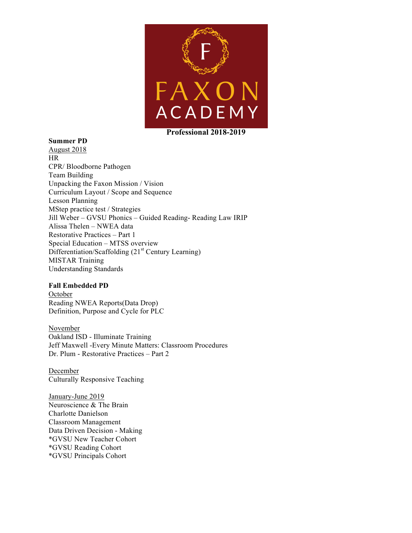

## **Summer PD**

August 2018 HR CPR/ Bloodborne Pathogen Team Building Unpacking the Faxon Mission / Vision Curriculum Layout / Scope and Sequence Lesson Planning MStep practice test / Strategies Jill Weber – GVSU Phonics – Guided Reading- Reading Law IRIP Alissa Thelen – NWEA data Restorative Practices – Part 1 Special Education – MTSS overview Differentiation/Scaffolding (21<sup>st</sup> Century Learning) MISTAR Training Understanding Standards

## **Fall Embedded PD**

October Reading NWEA Reports(Data Drop) Definition, Purpose and Cycle for PLC

November Oakland ISD - Illuminate Training Jeff Maxwell -Every Minute Matters: Classroom Procedures Dr. Plum - Restorative Practices – Part 2

December Culturally Responsive Teaching

January-June 2019 Neuroscience & The Brain Charlotte Danielson Classroom Management Data Driven Decision - Making \*GVSU New Teacher Cohort \*GVSU Reading Cohort \*GVSU Principals Cohort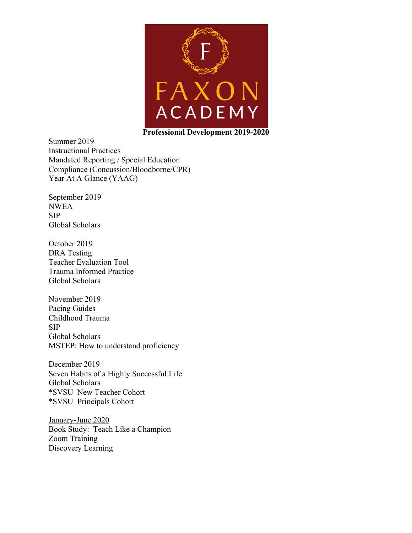

Summer 2019 Instructional Practices Mandated Reporting / Special Education Compliance (Concussion/Bloodborne/CPR) Year At A Glance (YAAG)

September 2019 NWEA SIP Global Scholars

October 2019 DRA Testing Teacher Evaluation Tool Trauma Informed Practice Global Scholars

November 2019 Pacing Guides Childhood Trauma SIP Global Scholars MSTEP: How to understand proficiency

December 2019 Seven Habits of a Highly Successful Life Global Scholars \*SVSU New Teacher Cohort \*SVSU Principals Cohort

January-June 2020 Book Study: Teach Like a Champion Zoom Training Discovery Learning